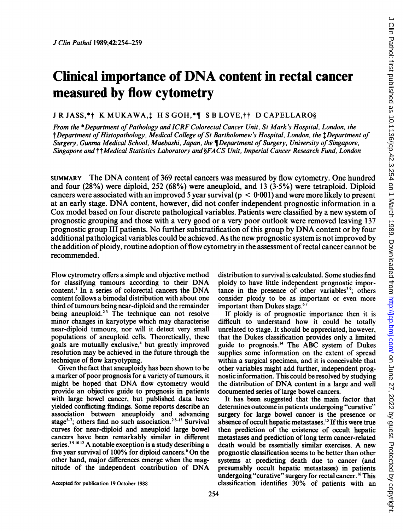# Clinical importance of DNA content in rectal cancer measured by flow cytometry

## JR JASS,\*† K MUKAWA,<sup>†</sup> H S GOH,\*¶ S B LOVE,†† D CAPELLARO§

From the \*Department of Pathology and ICRF Colorectal Cancer Unit, St Mark's Hospital, London, the tDepartment of Histopathology, Medical College of St Bartholomew's Hospital, London, the *‡Department* of Surgery, Gunma Medical School, Maebashi, Japan, the ¶Department of Surgery, University of Singapore, Singapore and <sup>††</sup>Medical Statistics Laboratory and §FACS Unit, Imperial Cancer Research Fund, London

SUMMARY The DNA content of <sup>369</sup> rectal cancers was measured by flow cytometry. One hundred and four (28%) were diploid, 252 (68%) were aneuploid, and 13 (3-5%) were tetraploid. Diploid cancers were associated with an improved 5 year survival ( $p < 0.001$ ) and were more likely to present at an early stage. DNA content, however, did not confer independent prognostic information in <sup>a</sup> Cox model based on four discrete pathological variables. Patients were classified by a new system of prognostic grouping and those with a very good or a very poor outlook were removed leaving 137 prognostic group III patients. No further substratification of this group by DNA content or by four additional pathological variables could be achieved. As the new prognostic system is not improved by the addition of ploidy, routine adoption of flow cytometry in the assessment of rectal cancer cannot be recommended.

Flow cytrometry offers a simple and objective method for classifying tumours according to their DNA content.' In <sup>a</sup> series of colorectal cancers the DNA content follows a bimodal distribution with about one third of tumours being near-diploid and the remainder being aneuploid.<sup>23</sup> The technique can not resolve minor changes in karyotype which may characterise near-diploid tumours, nor will it detect very small populations of aneuploid cells. Theoretically, these goals are mutually exclusive,<sup>4</sup> but greatly improved resolution may be achieved in the future through the technique of flow karyotyping.

Given the fact that aneuploidy has been shown to be a marker of poor prognosis for a variety of tumours, it might be hoped that DNA flow cytometry would provide an objective guide to prognosis in patients with large bowel cancer, but published data have yielded confficting findings. Some reports describe an association between aneuploidy and advancing stage<sup>5-7</sup>; others find no such association.<sup>28-13</sup> Survival curves for near-diploid and aneuploid large bowel cancers have been remarkably similar in different series.<sup>39 10 12</sup> A notable exception is a study describing a five year survival of 100% for diploid cancers.<sup>6</sup> On the other hand, major differences emerge when the magnitude of the independent contribution of DNA

distribution to survival is calculated. Some studies find ploidy to have little independent prognostic importance in the presence of other variables<sup>39</sup>; others consider ploidy to be as important or even more important than Dukes stage.<sup>67</sup>

If ploidy is of prognostic importance then it is difficult to understand how it could be totally unrelated to stage. It should be appreciated, however, that the Dukes classification provides only a limited guide to prognosis.'4 The ABC system of Dukes supplies some information on the extent of spread within a surgical specimen, and it is conceivable that other variables might add further, independent prognostic information. This could be resolved by studying the distribution of DNA content in <sup>a</sup> large and well documented series of large bowel cancers.

It has been suggested that the main factor that determines outcome in patients undergoing "curative" surgery for large bowel cancer is the presence or absence of occult hepatic metastases.<sup>15</sup> If this were true then prediction of the existence of occult hepatic metastases and prediction of long term cancer-related death would be essentially similar exercises. A new prognostic classification seems to be better than other systems at predicting death due to cancer (and presumably occult hepatic metastases) in patients undergoing "curative" surgery for rectal cancer.'6 This classification identifies 30% of patients with an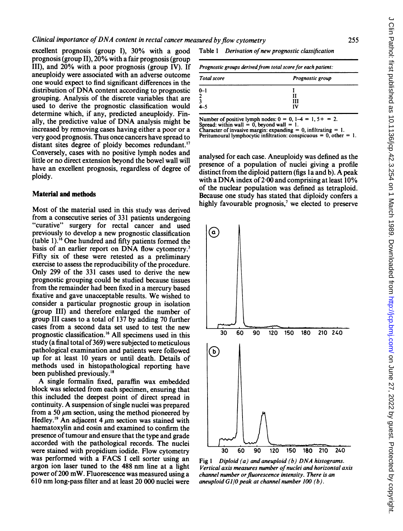excellent prognosis (group I), 30% with a good prognosis (group II), 20% with a fair prognosis (group III), and 20% with a poor prognosis (group IV). If aneuploidy were associated with an adverse outcome one would expect to find significant differences in the distribution of DNA content according to prognostic grouping. Analysis of the discrete variables that are used to derive the prognostic classification would determine which, if any, predicted aneuploidy. Finally, the predictive value of DNA analysis might be increased by removing cases having either a poor or a very good prognosis. Thus once cancers have spread to distant sites degree of ploidy becomes redundant.<sup>17</sup> Conversely, cases with no positive lymph nodes and little or no direct extension beyond the bowel wall will have an excellent prognosis, regardless of degree of ploidy.

## Material and methods

Most of the material used in this study was derived from a consecutive series of 331 patients undergoing "curative" surgery for rectal cancer and used previously to develop a new prognostic classification  $($ table 1).<sup>16</sup> One hundred and fifty patients formed the basis of an earlier report on DNA flow cytometry.<sup>3</sup> Fifty six of these were retested as a preliminary exercise to assess the reproducibility of the procedure. Only 299 of the 331 cases used to derive the new prognostic grouping could be studied because tissues from the remainder had been fixed in a mercury based fixative and gave unacceptable results. We wished to consider a particular prognostic group in isolation (group III) and therefore enlarged the number of group III cases to a total of 137 by adding 70 further cases from a second data set used to test the new prognostic classification.'6 All specimens used in this study (a final total of 369) were subjected to meticulous pathological examination and patients were followed up for at least 10 years or until death. Details of methods used in histopathological reporting have been published previously.'8

A single formalin fixed, paraffin wax embedded block was selected from each specimen, ensuring that this included the deepest point of direct spread in continuity. A suspension of single nuclei was prepared from a 50 um section, using the method pioneered by Hedley.<sup>19</sup> An adjacent 4  $\mu$ m section was stained with haematoxylin and eosin and examined to confirm the presence of tumour and ensure that the type and grade accorded with the pathological records. The nuclei were stained with propidium iodide. Flow cytometry was performed with a FACS <sup>I</sup> cell sorter using an argon ion laser tuned to the 488 nm line at <sup>a</sup> light power of 200 mW. Fluorescence was measured using <sup>a</sup> 610 nm long-pass filter and at least 20 000 nuclei were

Table 1 Derivation of new prognostic classification

|  | Prognostic groups derived from total score for each patient: |  |
|--|--------------------------------------------------------------|--|
|--|--------------------------------------------------------------|--|

| <b>Total score</b> | Prognostic group |
|--------------------|------------------|
| 0-1                | Ш                |
| h                  | IV               |

Number of positive lymph nodes:  $0 = 0$ ,  $1-4 = 1$ ,  $5+ = 2$ . Spread: within wall  $= 0$ , beyond wall  $= 1$ . Character of invasive margin: expanding = 0, infiltrating = 1.

Peritumoural lymphocytic infiltration: conspicuous =  $0,$  other = 1.

analysed for each case. Aneuploidy was defined as the presence of a population of nuclei giving a profile distinct from the diploid pattern (figs la and b). A peak with a DNA index of  $2.00$  and comprising at least  $10\%$ of the nuclear population was defined as tetraploid. Because one study has stated that diploidy confers a highly favourable prognosis,<sup> $7$ </sup> we elected to preserve



Fig 1 Diploid (a) and aneuploid (b)  $DNA$  histograms. Vertical axis measures number of nuclei and horizontal axis channel number or fluorescence intensity. There is an aneuploid Gl/O peak at channel number 100 (b).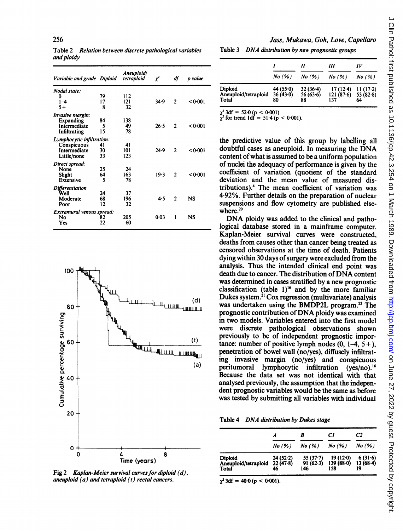Table 2 Relation between discrete pathological variables and ploidy

| Variable and grade Diploid |    | Aneuploid/<br>tetraploid | $\mathbf{r}^2$ | df             | p value |
|----------------------------|----|--------------------------|----------------|----------------|---------|
| Nodal state:               |    |                          |                |                |         |
| 0                          | 79 | 112                      |                |                |         |
| 1–4                        | 17 | 121                      | 34.9           | $\mathbf{c}$   | 0.001   |
| $5+$                       | 8  | 32                       |                |                |         |
| Invasive margin:           |    |                          |                |                |         |
| Expanding                  | 84 | 138                      |                |                |         |
| Intermediate               | 5  | 49                       | 26.5           | 2              | 0.001   |
| Infiltrating               | 15 | 78                       |                |                |         |
| Lymphocytic infiltration:  |    |                          |                |                |         |
| Conspicuous                | 41 | 41                       |                |                |         |
| Intermediate               | 30 | 101                      | 24.9           | $\overline{2}$ | <0.001  |
| Little/none                | 33 | 123                      |                |                |         |
| Direct spread:             |    |                          |                |                |         |
| None                       | 25 | 24                       |                |                |         |
| Slight                     | 64 | 163                      | 19.3           | $\mathbf{2}$   | < 0.001 |
| Extensive                  | 5  | 78                       |                |                |         |
| <i>Differentiation</i>     |    |                          |                |                |         |
| Well                       | 24 | 37                       |                |                |         |
| Moderate                   | 68 | 196                      | 4.5            | 2              | NS      |
| Poor                       | 12 | 32                       |                |                |         |
| Extramural venous spread:  |    |                          |                |                |         |
| No                         | 82 | 205                      | 0.03           | 1              | NS      |
| Yes                        | 22 | 60                       |                |                |         |



Fig 2 Kaplan-Meier survival curves for diploid  $(d)$ , aneuploid  $(a)$  and tetraploid  $(t)$  rectal cancers.

Jass, Mukawa, Goh, Love, Capellaro

Table <sup>3</sup> DNA distribution by new prognostic groups

|                                          |                               |                                      | Ш                              | IV                              |
|------------------------------------------|-------------------------------|--------------------------------------|--------------------------------|---------------------------------|
|                                          |                               | $No (%) \qquad No (%) \qquad No (%)$ |                                | $No($ %)                        |
| Diploid<br>Aneuploid/tetraploid<br>Total | 44 $(55.0)$<br>36(43.0)<br>80 | $32(36-4)$<br>56 $(63.6)$<br>88      | $17(12-4)$<br>121(87.6)<br>137 | $11(17-2)$<br>53 $(82.8)$<br>64 |

 $\chi^2$  3df = 52.0 (p < 0.001)<br> $\chi^2$  for trend 1df = 51.4 (p < 0.001).

the predictive value of this group by labelling all doubtful cases as aneuploid. In measuring the DNA content of what is assumed to be a uniform population of nuclei the adequacy of performance is given by the coefficient of variation (quotient of the standard deviation and the mean value of measured distributions).4 The mean coefficient of variation was 4.92%. Further details on the preparation of nuclear suspensions and flow cytometry are published elsewhere. $20$ 

DNA ploidy was added to the clinical and pathological database stored in a mainframe computer. Kaplan-Meier survival curves were constructed, deaths from causes other than cancer being treated as censored observations at the time of death. Patients dying within 30 days of surgery were excluded from the analysis. Thus the intended clinical end point was death due to cancer. The distribution of DNA content was determined in cases stratified by a new prognostic classification (table  $1$ )<sup>16</sup> and by the more familiar (d) Dukes system.<sup>21</sup> Cox regression (multivariate) analysis was undertaken using the BMDP2L program.<sup>22</sup> The prognostic contribution of DNA ploidy was examined in two models. Variables entered into the first model were discrete pathological observations shown (t) previously to be of independent prognostic importance: number of positive lymph nodes  $(0, 1-4, 5+)$ ,  $\text{L}_1$   $\text{L}_2$  penetration of bowel wall (no/yes), diffusely infiltrating invasive margin (no/yes) and conspicuous (a) peritumoral lymphocytic infiltration (yes/no).'6 Because the data set was not identical with that analysed previously, the assumption that the independent prognostic variables would be the same as before was tested by submitting all variables with individual

|  |  | Table 4 DNA distribution by Dukes stage |  |  |  |
|--|--|-----------------------------------------|--|--|--|
|--|--|-----------------------------------------|--|--|--|

|                                                 |                              |                               | СI                             | C <sub>2</sub>               |
|-------------------------------------------------|------------------------------|-------------------------------|--------------------------------|------------------------------|
|                                                 | No(%)                        | No(%) No(%)                   |                                | No (%)                       |
| <b>Diploid</b><br>Ancuploid/tetraploid<br>Total | $24(52-2)$<br>22(47.8)<br>46 | $55(37-7)$<br>91(62.3)<br>146 | $19(12-0)$<br>139(88.0)<br>158 | $6(31.6)$<br>13 (68.4)<br>19 |

 $\gamma^2$  3df = 40.0 (p < 0.001).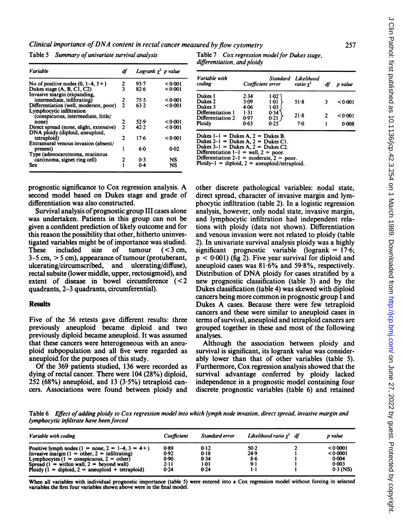Clinical importance of DNA content in rectal cancer measured by flow cytometry

Table 5 Summary of univariate survival analysis

| Variable                                | df            |        | Logrank $\chi^2$ p value |
|-----------------------------------------|---------------|--------|--------------------------|
| No of positive nodes $(0, 1-4, 5+)$     |               | 93.7   | 0.001                    |
| Dukes stage (A, B, C1, C2)              | $\frac{2}{3}$ | 82.6   | 0.001                    |
| Invasive margin (expanding,             |               |        |                          |
| intermediate, infiltrating)             |               | 75.5   | 0.001                    |
| Differentiation (well, moderate, poor)  | $\frac{2}{2}$ | 63.2   | 0.001                    |
| Lymphocytic infiltration                |               |        |                          |
| (conspicuous, intermediate, little/     |               |        |                          |
| none)                                   | $\frac{2}{2}$ | 52.9   | 0.001                    |
| Direct spread (none, slight, extensive) |               | 42.2   | < 0.001                  |
| DNA ploidy (diploid, aneuploid,         |               |        |                          |
| tetraploid)                             | 2             | $17-6$ | < 0.001                  |
| Extramural venous invasion (absent/     |               |        |                          |
| present)                                |               | 60     | 0.02                     |
| Type (adenocarcinoma, mucinous          |               |        |                          |
| carcinoma, signet ring cell)            |               | 0.3    | NS                       |
| Sex                                     |               | 0.4    | NS                       |
|                                         |               |        |                          |

Table 7 Cox regression model for Dukes stage, differentiation, and ploidy

| Variable with<br>coding | Coefficient error |                | Standard Likelihood<br>ratio $\chi^2$ | df | p value |
|-------------------------|-------------------|----------------|---------------------------------------|----|---------|
| Dukes 1                 | 2.34              | $1.02^{\circ}$ |                                       |    |         |
| Dukes 2                 | $3-09$            | 1.01           | $51-8$                                | 3  | < 0.001 |
| Dukes 3                 | 4.06              | $1-03$         |                                       |    |         |
| Differentiation 1       | $1 - 31$          | 0.34           | $21-8$                                | 2  |         |
| Differentiation 2       | 0.97              | 0.21           |                                       |    | < 0.001 |
| Ploidy                  | 0.63              | 0.25           | 70                                    |    | 0.008   |

Differentiation 2-1 = moderate, 2 = poor. Ploidy-I = diploid, <sup>2</sup> = aneuploid/tetraploid.

prognostic significance to Cox regression analysis. A second model based on Dukes stage and grade of differentiation was also constructed.

Survival analysis of prognostic group III cases alone was undertaken. Patients in this group can not be given a confident prediction of likely outcome and for this reason the possibility that other, hitherto uninvestigated variables might be of importance was studied.<br>These included size of tumour  $(< 3$  cm. These included 3-5 cm, > <sup>5</sup> cm), appearance of tumour (protuberant, ulcerating/circumscribed, and ulcerating/diffuse), rectal subsite (lower middle, upper, rectosigmoid), and extent of disease in bowel circumference  $(< 2$ quadrants, 2-3 quadrants, circumferential).

# **Results**

Five of the 56 retests gave different results: three previously aneuploid became diploid and two previously diploid became aneuploid. It was assumed that these cancers were heterogeneous with an aneuploid subpopulation and all five were regarded as aneuploid for the purposes of this study.

Of the 369 patients studied, 136 were recorded as dying of rectal cancer. There were 104 (28%) diploid, 252 (68%) aneuploid, and 13 (3.5%) tetraploid cancers. Associations were found between ploidy and

other discrete pathological variables: nodal state, direct spread, character of invasive margin and lymphocytic infiltration (table 2). In a logistic regression analysis, however, only nodal state, invasive margin, and lymphocytic infiltration had independent relations with ploidy (data not shown). Differentiation and venous invasion were not related to ploidy (table 2). In univariate survival analysis ploidy was a highly significant prognostic variable (logrank =  $17.6$ ;  $p < 0.001$ ) (fig 2). Five year survival for diploid and aneuploid cases was  $81.6\%$  and  $59.8\%$ , respectively. Distribution of DNA ploidy for cases stratified by <sup>a</sup> new prognostic classification (table 3) and by the Dukes classification (table 4) was skewed with diploid cancers being more common in prognostic group <sup>I</sup> and Dukes A cases. Because there were few tetraploid cancers and these were similar to aneuploid cases in terms of survival, aneuploid and tetraploid cancers are grouped together in these and most of the following analyses.

Although the association between ploidy and survival is significant, its logrank value was considerably lower than that of other variables (table 5). Furthermore, Cox regression analysis showed that the survival advantage conferred by ploidy lacked independence in a prognostic model containing four discrete prognostic variables (table 6) and retained

Table 6 Effect of adding ploidy to Cox regression model into which lymph node invasion, direct spread, invasive margin and lymphocytic infiltrate have been forced

| Variable with coding                                      | Coefficient | Standard error | Likelihood ratio $x^2$ df | p value    |
|-----------------------------------------------------------|-------------|----------------|---------------------------|------------|
| Positive lymph nodes $(1 = none, 2 = 1-4, 3 = 4+)$        | 0.89        | 0.12           | $50-2$                    | 0.0001     |
| Invasive margin $(1 = other, 2 = infinitiating)$          | 0.92        | 0.18           | 24.9                      | < 0.0001   |
| Lymphocytes $(1 = \text{conspicuous}, 2 = \text{other})$  | 0.90        | 0.34           | $8 - 6$                   | 0.004      |
| Spread $(1 = \text{within wall}, 2 = \text{beyond wall})$ | 2-11        | 1.01           | 9.1                       | 0.003      |
| Ploidy $(1 - diploid, 2 - aneuploid + tetraploid)$        | 0.24        | 0.24           | 1.1                       | $0.3$ (NS) |

When all variables with individual prognostic importance (table 5) were entered into a Cox regression model without forcing in selected variables the first four variables shown above were in the final model.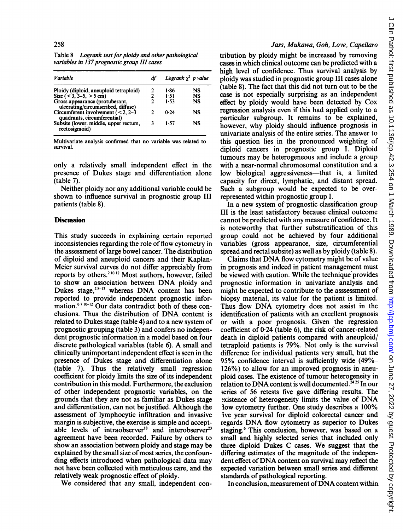Table 8 Logrank test for ploidy and other pathological variables in 137 prognostic group III cases

| <b>Variable</b>                                                      |   | Logrank $\chi^2$ p value |    |
|----------------------------------------------------------------------|---|--------------------------|----|
| Ploidy (diploid, aneuploid tetraploid)                               | 2 | 1.86                     | NS |
| Size $(< 3, 3-5, > 5$ cm)                                            | 2 | 1.51                     | NS |
| Gross appearance (protuberant,<br>ulcerating/circumscribed, diffuse) | 7 | 1.53                     | NS |
| Circumferent involvement $(< 2, 2-3)$<br>quadrants, circumferential) | າ | 0.24                     | NS |
| Subsite (lower. middle, upper rectum,<br>rectosigmoid)               | 3 | 1.57                     | NS |

Multivariate analysis confirmed that no variable was related to survival.

only a relatively small independent effect in the presence of Dukes stage and differentiation alone (table 7).

Neither ploidy nor any additional variable could be shown to influence survival in prognostic group III patients (table 8).

#### **Discussion**

This study succeeds in explaining certain reported inconsistencies regarding the role of flow cytometry in the assessment of large bowel cancer. The distribution of diploid and aneuploid cancers and their Kaplan-Meier survival curves do not differ appreciably from reports by others.<sup>21012</sup> Most authors, however, failed to show an association between DNA ploidy and Dukes stage,<sup>28-13</sup> whereas DNA content has been reported to provide independent prognostic information.<sup>67 10-12</sup> Our data contradict both of these conclusions. Thus the distribution of DNA content is related to Dukes stage (table 4) and to a new system of prognostic grouping (table 3) and confers no independent prognostic information in a model based on four discrete pathological variables (table 6). A small and clinically unimportant independent effect is seen in the presence of Dukes stage and differentiation alone (table 7). Thus the relatively small regression coefficient for ploidy limits the size of its independent contribution in this model. Furthermore, the exclusion of other independent prognostic variables, on the grounds that they are not as familiar as Dukes stage and differentiation, can not be justified. Although the assessment of lymphocytic infiltration and invasive margin is subjective, the exercise is simple and acceptable levels of intraobserver<sup>18</sup> and interobserver<sup>23</sup> agreement have been recorded. Failure by others to show an association between ploidy and stage may be explained by the small size of most series, the confounding effects introduced when pathological data may not have been collected with meticulous care, and the relatively weak prognostic effect of ploidy.

We considered that any small, independent con-

#### Jass, Mukawa, Goh, Love, Capellaro

tribution by ploidy might be increased by removing cases in which clinical outcome can be predicted with a high level of confidence. Thus survival analysis by ploidy was studied in prognostic group III cases alone (table 8). The fact that this did not turn out to be the case is not especially surprising as an independent effect by ploidy would have been detected by Cox regression analysis even if this had applied only to a particular subgroup. It remains to be explained, however, why ploidy should influence prognosis in univariate analysis of the entire series. The answer to this question lies in the pronounced weighting of diploid cancers in prognostic group I. Diploid tumours may be heterogeneous and include a group with a near-normal chromosomal constitution and a low biological aggressiveness—that is, a limited capacity for direct, lymphatic, and distant spread. Such a subgroup would be expected to be overrepresented within prognostic group I.

In a new system of prognostic classification group III is the least satisfactory because clinical outcome cannot be predicted with any measure of confidence. It is noteworthy that further substratification of this group could not be achieved by four additional variables (gross appearance, size, circumferential spread and rectal subsite) as well as by ploidy (table 8).

Claims that DNA flow cytometry might be of value in prognosis and indeed in patient management must be viewed with caution. While the technique provides prognostic information in univariate analysis and might be expected to contribute to the asssessment of biopsy material, its value for the patient is limited. Thus flow DNA cytometry does not assist in the identification of patients with an excellent prognosis or with a poor prognosis. Given the regression coefficient of 0-24 (table 6), the risk of cancer-related death in diploid patients compared with aneuploid/ tetraploid patients is 79%. Not only is the survival difference for individual patients very small, but the 95% confidence interval is sufficiently wide (49%- 126%) to allow for an improved prognosis in aneuploid cases. The existence of tumour heterogeneity in relation to DNA content is well documented.<sup> $\bar{2}4$ 25 In our</sup> series of 56 retests five gave differing results. The xistence of heterogeneity limits the value of DNA low cytometry further. One study describes a 100% ive year survival for diploid colorectal cancer and regards DNA flow cytometry as superior to Dukes staging.<sup>6</sup> This conclusion, however, was based on a small and highly selected series that included only three diploid Dukes C cases. We suggest that the differing estimates of the magnitude of the independent effect of DNA content on survival may reflect the expected variation between small series and different standards of pathological reporting.

J Clin Pathol: first published as 10.1136/jcp.42.3.254 on 1 March 1989. Downloaded from http://jcp.bmj.com/ on June 27, 2022 by guest. Protected by copyright on June 27, 2022 by guest. Protected by copyright. <http://jcp.bmj.com/> J Clin Pathol: first published as 10.1136/jcp.42.3.254 on 1 March 1989. Downloaded from

In conclusion, measurement of DNA content within